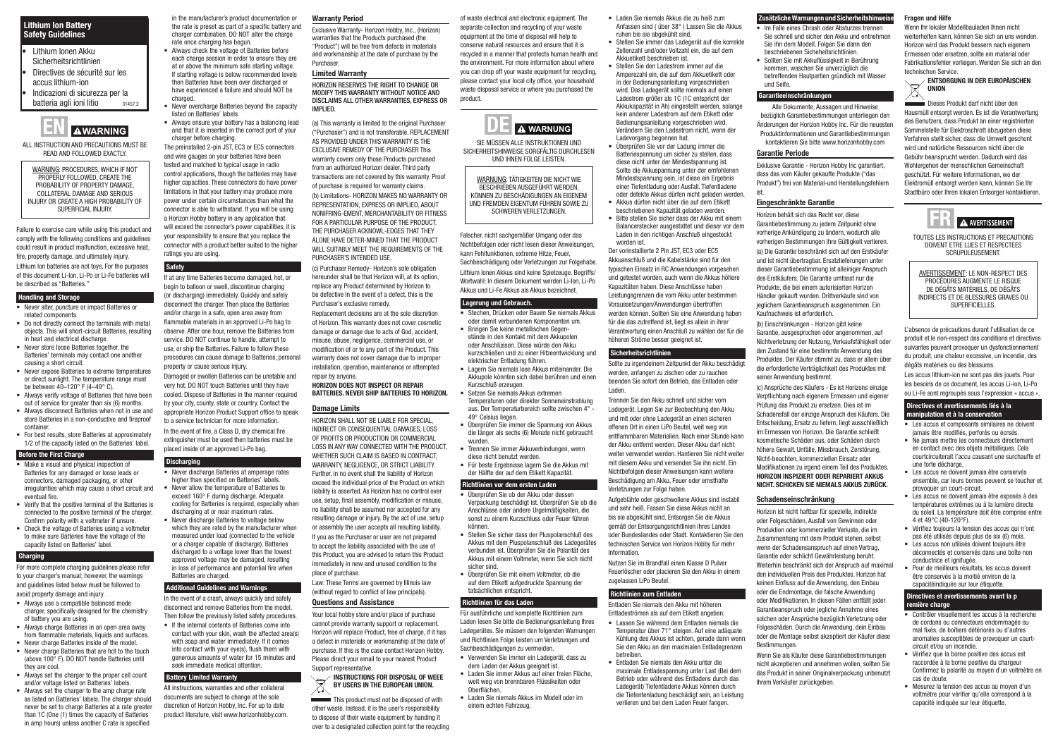# Lithium Ion Battery **Safety Guidelines**

ALL INSTRUCTION AND PRECAUTIONS MUST BE **READ AND FOLLOWED EXACTLY** 



Failure to exercise care while using this product and comply with the following conditions and guidelines could result in product malfunction, excessive heat, fire, property damage, and ultimately injury. Lithium Ion batteries are not toys. For the purposes of this document Li-Ion, Li-Po or Li-Fe batteries will be described as "Batteries.

### **Handling and Storage**

WARNING: Procedures, which if not properly followed, create the PROBABILITY OF PROPERTY DAMAGE collateral damage and serious injury OR create a high probability of superficial injury.

- Never alter, puncture or impact Batteries or related components.
- Do not directly connect the terminals with metal objects. This will short-circuit Batteries, resulting in heat and electrical discharge.
- Never store loose Batteries together, the Batteries' terminals may contact one another causing a short circuit.
- Never expose Batteries to extreme temperatures or direct sunlight. The temperature range must be between  $40-120^\circ$  F  $(4-49^\circ$  C).
- Always verify voltage of Batteries that have been out of service for greater than six (6) months.
- Always disconnect Batteries when not in use and store Batteries in a non-conductive and fireproof container.
- For best results, store Batteries at approximately 1/2 of the capacity listed on the Batteries' label.

- Make a visual and physical inspection of Batteries for any damaged or loose leads or connectors, damaged packaging, or other irregularities which may cause a short circuit and eventual fire.
- • Verify that the positive terminal of the Batteries is connected to the positive terminal of the charger. Confirm polarity with a voltmeter if unsure.
- Check the voltage of Batteries using a voltmeter to make sure Batteries have the voltage of the capacity listed on Batteries' label.

# **Charging**

# Before the First Charge

- Always check the voltage of Batteries before each charge session in order to ensure they are at or above the minimum safe starting voltage. If starting voltage is below recommended levels then Batteries have been over discharged or have experienced a failure and should NOT be charged.
- Never overcharge Batteries beyond the capacity listed on Batteries' labels. • Always ensure your battery has a balancing lead
- and that it is inserted in the correct port of your charger before charging.

For more complete charging guidelines please refer to your charger's manual; however, the warnings and guidelines listed below must be followed to avoid property damage and injury.

- • Always use a compatible balanced mode charger, specifically designed for the chemistry of battery you are using.
- • Always charge Batteries in an open area away from flammable materials, liquids and surfaces
- • Never charge Batteries inside of the model.
- Never charge Batteries that are hot to the touch (above 100° F). DO NOT handle Batteries until they are cool.
- • Always set the charger to the proper cell count and/or voltage listed on Batteries' labels.
- Always set the charger to the amp charge rate as listed on Batteries' labels. The charger should never be set to charge Batteries at a rate greater than 1C (One (1) times the capacity of Batteries in amp hours) unless another C rate is specified
- Never discharge Batteries at amperage rates higher than specified on Batteries' labels.
- Never allow the temperature of Batteries to exceed 160° F during discharge. Adequate cooling for Batteries is required, especially when discharging at or near maximum rates.
- • Never discharge Batteries to voltage below which they are rated by the manufacturer when measured under load (connected to the vehicle or a charger capable of discharge). Batteries discharged to a voltage lower than the lowest approved voltage may be damaged, resulting in loss of performance and potential fire when

in the manufacturer's product documentation or the rate is preset as part of a specific battery and charger combination. DO NOT alter the charge rate once charging has begun.

• If the internal contents of Batteries come into contact with your skin, wash the affected area(s) with soap and water immediately. If it comes into contact with your eye(s), flush them with generous amounts of water for 15 minutes and seek immediate medical attention.

The preinstalled 2-pin JST, EC3 or EC5 connectors and wire gauges on your batteries have been tested and matched to typical usage in radio control applications, though the batteries may have higher capacities. These connectors do have power limitations in that your battery may produce more power under certain circumstances than what the connector is able to withstand. If you will be using a Horizon Hobby battery in any application that will exceed the connector's power capabilities, it is your responsibility to ensure that you replace the connector with a product better suited to the higher ratings you are using.

# **Safety**

If at any time Batteries become damaged, hot, or begin to balloon or swell, discontinue charging (or discharging) immediately. Quickly and safely disconnect the charger. Then place the Batteries and/or charge in a safe, open area away from flammable materials in an approved Li-Po bag to observe. After one hour, remove the Batteries from service. DO NOT continue to handle, attempt to use, or ship the Batteries. Failure to follow these procedures can cause damage to Batteries, personal property or cause serious injury.

# $\angle$  Instructions for Disposal of WEEE by Users in the European Union.

This product must not be disposed of with other waste. Instead, it is the user's responsibility to dispose of their waste equipment by handing it over to a designated collection point for the recycling

Damaged or swollen Batteries can be unstable and very hot. DO NOT touch Batteries until they have cooled. Dispose of Batteries in the manner required by your city, county, state or country. Contact the appropriate Horizon Product Support office to speak to a service technician for more information. In the event of fire, a Class D, dry chemical fire extinguisher must be used then batteries must be placed inside of an approved Li-Po bag.

# **Discharging**

- Stechen, Drücken oder Bauen Sie niemals Akkus oder damit verbundenen Komponenten um.
- • Bringen Sie keine metallischen Gegenstände in den Kontakt mit dem Akkupolen oder Anschlüssen. Diese würde den Akku kurzschließen und zu einer Hitzeentwicklung und elektrischer Entladung führen.
- • Lagern Sie niemals lose Akkus miteinander. Die Akkupole könnten sich dabei berühren und einen Kurzschluß erzeugen.
- Setzen Sie niemals Akkus extremen Temperaturen oder direkter Sonneneinstrahlung aus. Der Temperaturbereich sollte zwischen 4° - 49° Celsius liegen.
- • Überprüfen Sie immer die Spannung von Akkus die länger als sechs (6) Monate nicht gebraucht wurden.
- Trennen Sie immer Akkuverbindungen, wenn diese nicht benutzt werden.
- • Für beste Ergebnisse lagern Sie die Akkus mit der Hälfte der auf dem Etikett Kapazität.

# Batteries are charged. Additional Guidelines and Warnings

In the event of a crash, always quickly and safely disconnect and remove Batteries from the model. Then follow the previously listed safety procedures.

#### Battery Limited Warranty

- Verwenden Sie immer ein Ladegerät, dass zu dem Laden der Akkus geeignet ist.
- Laden Sie immer Akkus auf einer freien Fläche weit weg von brennbaren Flüssikeiten oder Oberflächen.
- • Laden Sie niemals Akkus im Modell oder im einem echten Fahrzeug.

All instructions, warranties and other collateral documents are subject to change at the sole discretion of Horizon Hobby, Inc. For up to date product literature, visit www.horizonhobby.com.

### Warranty Period

Exclusive Warranty- Horizon Hobby, Inc., (Horizon) warranties that the Products purchased (the "Product") will be free from defects in materials and workmanship at the date of purchase by the Purchaser.

#### Limited Warranty

Horizon reserves the right to change or modify this warranty without notice and disclaims all other warranties, express or implied.

(a) This warranty is limited to the original Purchaser ("Purchaser") and is not transferable. REPLACEMENT AS PROVIDED UNDER THIS WARRANTY IS THE EXCLUSIVE REMEDY OF THE PURCHASER This warranty covers only those Products purchased from an authorized Horizon dealer. Third party transactions are not covered by this warranty. Proof of purchase is required for warranty claims. (b) Limitations- HORIZON MAKES NO WARRANTY OR REPRESENTATION, EXPRESS OR IMPLIED, ABOUT NONIFRING-EMENT, MERCHANTABILITY OR FITNESS FOR A PARTICULAR PURPOSE OF THE PRODUCT. THE PURCHASER ACKNOWL-EDGES THAT THEY ALONE HAVE DETER-MINED THAT THE PRODUCT WILL SUITABLY MEET THE REQUIREMENTS OF THE PURCHASER'S INTENDED USE.

> Aufgeblähte oder geschwollene Akkus sind instabil und sehr heiß. Fassen Sie diese Akkus nicht an bis sie abgekühlt sind. Entsorgen Sie die Akkus gemäß der Entsorgungsrichtlinien ihres Landes oder Bundeslandes oder Stadt. Kontaktieren Sie den technischen Service von Horizon Hobby für mehr **Information**

(c) Purchaser Remedy- Horizon's sole obligation hereunder shall be that Horizon will, at its option, replace any Product determined by Horizon to be defective In the event of a defect, this is the Purchaser's exclusive remedy.

> Nutzen Sie im Brandfall einen Klasse D Pulver Feuerlöscher oder placieren Sie den Akku in einem zugelassen LiPo Beutel

# ichtlinien zum Entladen

Replacement decisions are at the sole discretion of Horizon. This warranty does not cover cosmetic damage or damage due to acts of God, accident, misuse, abuse, negligence, commercial use, or modification of or to any part of the Product. This warranty does not cover damage due to improper installation, operation, maintenance or attempted repair by anyone.

#### HORIZON DOES NOT INSPECT OR REPAIR BATTERIES. Never ship batteries to Horizon.

• Im Falle eines Chrash oder Absturzes trennen Sie schnell und sicher den Akku und entnehmen Sie ihn dem Modell. Folgen Sie dann den beschriebenen Sicheheitsrichtlinien. • Sollten Sie mit Akkuflüssigkeit in Berührung kommen, waschen Sie unverzüglich die betreffenden Hautpartien gründlich mit Wasser

#### Damage Limits

Exklusive Garantie - Horizon Hobby Inc garantiert dass das vom Käufer gekaufte Produkte ("das Produkt") frei von Material-und Herstellungsfehlern

HORIZON SHALL NOT BE LIABLE FOR SPECIAL, INDIRECT OR CONSEQUENTIAL DAMAGES, LOSS OF PROFITS OR PRODUCTION OR COMMERCIAL LOSS IN ANY WAY CONNECTED WITH THE PRODUCT, WHETHER SUCH CLAIM IS BASED IN CONTRACT, WARRANTY, NEGLIGENCE, OR STRICT LIABILITY. Further, in no event shall the liability of Horizon exceed the individual price of the Product on which liability is asserted. As Horizon has no control over use, setup, final assembly, modification or misuse, no liability shall be assumed nor accepted for any resulting damage or injury. By the act of use, setup or assembly the user accepts all resulting liability.

If you as the Purchaser or user are not prepared to accept the liability associated with the use of this Product, you are advised to return this Product immediately in new and unused condition to the place of purchase.

Law: These Terms are governed by Illinois law (without regard to conflict of law principals).

(c) Ansprüche des Käufers - Es ist Horizons einzige Verpflichtung nach eigenem Ermessen und eigener Prüfung das Produkt zu ersetzen. Dies ist im Schadensfall der einzige Anspruch des Käufers. Die Entscheidung, Ersatz zu liefern, liegt ausschließlich im Ermessen von Horizon. Die Garantie schließt kosmetische Schäden aus, oder Schäden durch höhere Gewalt, Unfälle, Missbrauch, Zerstörung, Nicht-beachten, kommerziellen Einsatz oder Modifikationen zu irgend einem Teil des Produktes. Horizon inspiziert oder repariert Akkus nicht. Schicken Sie niemals Akkus zurück.

#### Questions and Assistance

Your local hobby store and/or place of purchase cannot provide warranty support or replacement. Horizon will replace Product, free of charge, if it has a defect in materials or workmanship at the date of purchase. If this is the case contact Horizon Hobby. Please direct your email to your nearest Product Support representative.

of waste electrical and electronic equipment. The separate collection and recycling of your waste equipment at the time of disposal will help to conserve natural resources and ensure that it is recycled in a manner that protects human health and the environment. For more information about where you can drop off your waste equipment for recycling, please contact your local city office, your household waste disposal service or where you purchased the product.

> TOUTES LES INSTRUCTIONS ET PRECAUTIONS DOIVENT ETRE LUES ET RESPECTEES SCRUPULEUSEMENT



SIE MÜSSEN ALLE INSTRUKTIONEN UND SICHERHEITSHINWEISE SORGFÄLTIG DURCHLESEN UND IHNEN FOLGE LEISTEN.

Warnung: Tätigkeiten die nicht wie beschrieben ausgeführt werden, können zu Beschädigungen an eigenem und fremden Eigentum führen sowie zu schweren Verletzungen.

Falscher, nicht sachgemäßer Umgang oder das Nichtbefolgen oder nicht lesen dieser Anweisungen, kann Fehlfunktionen, extreme Hitze, Feuer, Sachbeschädigung oder Verletzungen zur Folgehabe. Lithium Ionen Akkus sind keine Spielzeuge. Begriffs/ Wortwahl: In diesem Dokument werden Li-Ion, Li-Po Akkus und Li-Fe Akkus als Akkus bezeichnet.

### Lagerung und Gebrauch.

- **Lithium Ionen Akku** Sicherheitsrichtlinien
- Directives de sécurité sur les accus lithium-ion
- Indicazioni di sicurezza per la batteria agli ioni litio 31457.2

#### Richtlinien vor dem ersten Laden

- • Überprüfen Sie ob der Akku oder dessen Verpackung beschädigt ist. Überprüfen Sie ob die Anschlüsse oder andere Urgelmäßigkeiten, die sonst zu einem Kurzschluss oder Feuer führen können.
- • Stellen Sie sicher dass der Pluspolanschluß des Akkus mit dem Pluspolanschluß des Ladegerätes verbunden ist. Überprüfen Sie die Polarität des Akkus mit einem Voltmeter, wenn Sie sich nicht sicher sind.
- • Überprüfen Sie mit einem Voltmeter, ob die auf dem Etikett aufgedruckte Spannung der tatsächlichen entspricht.

# Richtlinien für das Laden

Für ausführliche und komplette Richtlinien zum Laden lesen Sie bitte die Bedienungsanleitung Ihres Ladegerätes. Sie müssen den folgenden Warnungen und Richtlinien Folge leisten um Verletzungen und Sachbeschädigungen zu vermeiden.

- • Laden Sie niemals Akkus die zu heiß zum Anfassen sind ( über 38° ) Lassen Sie die Akkus ruhen bis sie abgekühlt sind.
- • Stellen Sie immer das Ladegerät auf die korrekte Zellenzahl und/oder Voltzahl ein, die auf dem Akkuetikett beschrieben ist.
- • Stellen Sie den Ladestrom immer auf die Amperezahl ein, die auf dem Akkuetikett oder in der Bedienungsanleitung vorgeschrieben wird. Das Ladegerät sollte niemals auf einen Ladestrom größer als 1C (1C entspricht der Akkukapazität in Ah) eingestellt werden, solange kein anderer Ladestrom auf dem Etikett oder Bedienungsanleitung vorgeschrieben wird. Verändern Sie den Ladestrom nicht, wenn der Ladevorgang begonnen hat.
- • Überprüfen Sie vor der Ladung immer die Batteriespannung um sicher zu stellen, dass diese nicht unter der Mindestspannung ist. Sollte die Akkuspannung unter der emfohlenen Mindestspannung sein, ist diese ein Ergebnis einer Tiefentladung oder Ausfall. Tiefentladene oder defekte Akkus dürfen nicht geladen werden.
- • Akkus dürfen nicht über die auf dem Etikett beschriebenen Kapazität geladen werden.
- • Bitte stellen Sie sicher dass der Akku mit einem Balancerstecker ausgestattet und dieser vor dem Laden in den richtigen Anschluß eingesteckt worden ist.

Der vorinstallierte 2 Pin JST, EC3 oder EC5 Akkuanschluß und die Kabelstärke sind für den typischen Einsatz in RC Anwendungen vorgesehen und getestet worden, auch wenn die Akkus höhere Kapazitäten haben. Diese Anschlüsse haben Leistungsgrenzen die vom Akku unter bestimmen Voraussetzungen/Anwendungen übertroffen werden können. Sollten Sie eine Anwendung haben für die das zutreffend ist, liegt es allein in ihrer Verantwortung einen Anschluß zu wählen der für die höheren Ströme besser geeignet ist.

#### Sicherheitsrichtlinien

Sollte zu irgendeinem Zeitpunkt der Akku beschädigt werden, anfangen zu zischen oder zu rauchen beenden Sie sofort den Betrieb, das Entladen oder Laden.

Trennen Sie den Akku schnell und sicher vom Ladegerät. Legen Sie zur Beobachtung den Akku und mit oder ohne Ladegerät an einen sicheren offenen Ort in einen LiPo Beutel, weit weg von entflammbaren Materialien. Nach einer Stunde kann der Akku entfernt werden. Dieser Akku darf nicht weiter verwendet werden. Hantieren Sie nicht weiter mit diesem Akku und versenden Sie ihn nicht. Ein Nichtbefolgen dieser Anweisungen kann weitere Beschädigung am Akku, Feuer oder ernsthafte Verletzungen zur Folge haben.

Entladen Sie niemals den Akku mit höheren Entladeströmen als auf dem Etikett angeben.

- • Lassen Sie während dem Entladen niemals die Temperatur über 71° steigen. Auf eine adäquate Kühlung des Akkus ist achten, gerade dann wenn Sie den Akku an den maximalen Entladegrenzen betreiben.
- • Entladen Sie niemals den Akku unter die maximale Entladespannung unter Last (Bei dem Betrieb oder während des Entladens durch das Ladegerät) Tiefentladene Akkus können durch die Tiefentenladung beschädigt sein, an Leistung verlieren und bei dem Laden Feuer fangen.

# Zusätzliche Warnungen und Sicherheitshinweise

und Seife.

# Garantieeinschränkungen

Alle Dokumente, Aussagen und Hinweise bezüglich Garantiebestimmungen unterliegen den Änderungen der Horizon Hobby Inc. Für die neuesten Produktinformationen und Garantiebestimmungen kontaktieren Sie bitte www.horizonhobby.com

# Garantie Periode

ist.

# Eingeschränkte Garantie

Horizon behält sich das Recht vor, diese Garantiebestimmung zu jedem Zeitpunkt ohne vorherige Ankündigung zu ändern, wodurch alle vorherigen Bestimmungen ihre Gültigkeit verlieren. (a) Die Garantie beschränkt sich auf den Erstkäufer und ist nicht übertragbar. Ersatzlieferungen unter dieser Garantiebestimmung ist alleiniger Anspruch des Erstkäufers. Die Garantie umfasst nur die Produkte, die bei einem autorisierten Horizon Händler gekauft wurden. Drittverkäufe sind von jeglichem Garantieanspruch ausgenommen. Ein Kaufnachweis ist erforderlich.

(b) Einschränkungen - Horizon gibt keine Garantie, ausgesprochen oder angenommen, auf Nichtverletzung der Nutzung, Verkaufsfähigkeit oder den Zustand für eine bestimmte Anwendung des Produktes. Der Käufer stimmt zu, dass er allein über die erforderliche Verträglichkeit des Produktes mit seiner Anwendung bestimmt.

# Schadenseinschränkung

Horizon ist nicht haftbar für spezielle, indirekte oder Folgeschäden, Ausfall von Gewinnen oder Produktion oder kommerzieller Verluste, die im Zusammenhang mit dem Produkt stehen, selbst wenn der Schadensanspruch auf einen Vertrag, Garantie oder schlicht Gewährleistung beruht. Weiterhin beschränkt sich der Anspruch auf maximal den individuellen Preis des Produktes. Horizon hat keinen Einfluss auf die Anwendung, den Einbau oder die Endmontage, die falsche Anwendung oder Modifikationen. In diesen Fällen entfällt jeder Garantieanspruch oder jegliche Annahme eines solchen oder Ansprüche bezüglich Verletzung oder Folgeschäden. Durch die Anwendung, dein Einbau oder die Montage selbst akzeptiert der Käufer diese

Wenn Sie als Käufer diese Garantiebestimmungen nicht akzentieren und annehmen wollen, sollten Sie das Produkt in seiner Originalverpackung unbenutzt

Bestimmungen. Ihrem Verkäufer zurückgeben.

# Fragen und Hilfe

Wenn Ihr lokaler Modellbauladen Ihnen nicht weiterhelfen kann, können Sie sich an uns wenden. Horizon wird das Produkt bessern nach eigenem Ermessen oder ersetzen, sollte ein material oder Fabrikationsfehler vorliegen. Wenden Sie sich an den technischen Service.



# ENTSORGUNG IN DER EUROPÄIS U

Dieses Produkt darf nicht über den Hausmüll entsorgt werden. Es ist die Verantwortung des Benutzers, dass Produkt an einer registrierten Sammelstelle für Elektroschrott abzugeben diese Verfahren stellt sicher, dass die Umwelt geschont wird und natürliche Ressourcen nicht über die Gebühr beansprucht werden. Dadurch wird das Wohlergehen der menschlichen Gemeinschaft geschützt. Für weitere Informationen, wo der Elektromüll entsorgt werden kann, können Sie Ihr Stadtbüro oder Ihren lokalen Entsorger kontaktieren.



AVERTISSEMENT: LE NON-RESPECT DES PROCÉDURES AUGMENTE LE RISQUE DE DÉGÂTS MATÉRIELS, DE DÉGÂTS INDIRECTS ET DE BLESSURES GRAVES OU SUPERFICIELLES.

L'absence de précautions durant l'utilisation de ce produit et le non-respect des conditions et directives suivantes peuvent provoquer un dysfonctionnement du produit, une chaleur excessive, un incendie, des dégâts matériels ou des blessures.

Les accus lithium-ion ne sont pas des jouets. Pour les besoins de ce document, les accus Li-ion, Li-Po ou Li-Fe sont regroupés sous l'expression « accus ».

# Directives et avertissements liés à la manipulation et à la conservation

- • Les accus et composants similaires ne doivent jamais être modifiés, perforés ou écrsés.
- • Ne jamais mettre les connecteurs directement en contact avec des objets métalliques. Cela courtcircuiterait l'accu causant une surchauffe et une forte décharge.
- • Les accus ne doivent jamais être conservés ensemble, car leurs bornes peuvent se toucher et provoquer un court-circuit.
- • Les accus ne doivent jamais être exposés à des températures extrêmes ou à la lumière directe du soleil. La température doit être comprise entre 4 et 49°C (40-120°F).
- • Vérifiez toujours la tension des accus qui n'ont pas été utilisés depuis plus de six (6) mois.
- • Les accus non utilisés doivent toujours être déconnectés et conservés dans une boîte non conductrice et ignifugée.
- • Pour de meilleurs résultats, les accus doivent être conservés à la moitié environ de la capacitéindiquée sur leur étiquette.

# Directives et avertissements avant la p remière charge

- • Contrôler visuellement les accus à la recherche de cordons ou connecteurs endommagés ou mal fixés, de boîtiers détériorés ou d'autres anomalies susceptibles de provoquer un courtcircuit et/ou un incendie.
- • Vérifiez que la borne positive des accus est raccordée à la borne positive du chargeur Confirmez la polarité au moyen d'un voltmètre en cas de doute.
- • Mesurez la tension des accus au moyen d'un voltmètre pour vérifier qu'elle correspond à la capacité indiquée sur leur étiquette.